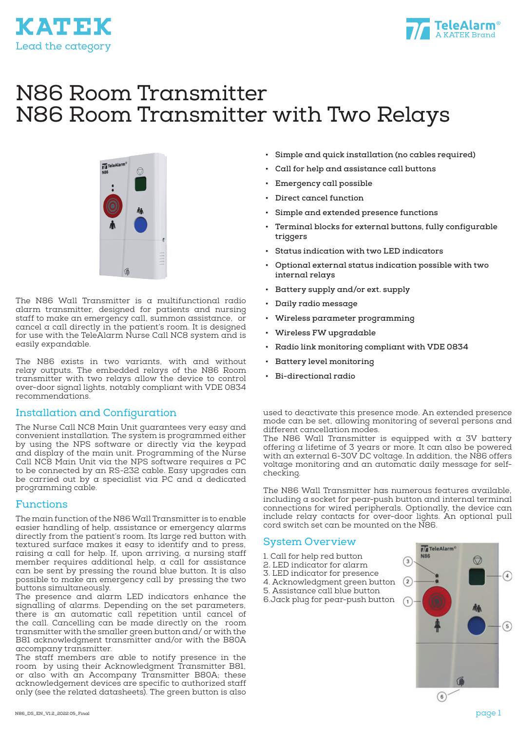



# N86 Room Transmitter N86 Room Transmitter with Two Relays



The N86 Wall Transmitter is a multifunctional radio alarm transmitter, designed for patients and nursing staff to make an emergency call, summon assistance, or cancel a call directly in the patient's room. It is designed for use with the TeleAlarm Nurse Call NC8 system and is easily expandable.

The N86 exists in two variants, with and without relay outputs. The embedded relays of the N86 Room transmitter with two relays allow the device to control over-door signal lights, notably compliant with VDE 0834 recommendations.

#### Installation and Configuration

The Nurse Call NC8 Main Unit guarantees very easy and convenient installation. The system is programmed either by using the NPS software or directly via the keypad and display of the main unit. Programming of the Nurse Call NC8 Main Unit via the NPS software requires a PC to be connected by an RS-232 cable. Easy upgrades can be carried out by a specialist via PC and  $\alpha$  dedicated programming cable.

## Functions

The main function of the N86 Wall Transmitter is to enable easier handling of help, assistance or emergency alarms directly from the patient's room. Its large red button with textured surface makes it easy to identify and to press, raising a call for help. If, upon arriving, a nursing staff member requires additional help, a call for assistance can be sent by pressing the round blue button. It is also possible to make an emergency call by pressing the two buttons simultaneously.

The presence and alarm LED indicators enhance the signalling of alarms. Depending on the set parameters, there is an automatic call repetition until cancel of the call. Cancelling can be made directly on the room transmitter with the smaller green button and/ or with the B81 acknowledgment transmitter and/or with the B80A accompany transmitter.

The staff members are able to notify presence in the room by using their Acknowledgment Transmitter B81, or also with an Accompany Transmitter B80A; these acknowledgement devices are specific to authorized staff only (see the related datasheets). The green button is also

- **• Simple and quick installation (no cables required)**
- **• Call for help and assistance call buttons**
- **• Emergency call possible**
- **• Direct cancel function**
- **• Simple and extended presence functions**
- **• Terminal blocks for external buttons, fully configurable triggers**
- **• Status indication with two LED indicators**
- **• Optional external status indication possible with two internal relays**
- **• Battery supply and/or ext. supply**
- **• Daily radio message**
- **• Wireless parameter programming**
- **• Wireless FW upgradable**
- **• Radio link monitoring compliant with VDE 0834**
- **• Battery level monitoring**
- **• Bi-directional radio**

used to deactivate this presence mode. An extended presence mode can be set, allowing monitoring of several persons and different cancellation modes.

The N86 Wall Transmitter is equipped with a 3V battery offering a lifetime of 3 years or more. It can also be powered with an external 6-30V DC voltage. In addition, the N86 offers voltage monitoring and an automatic daily message for selfchecking.

The N86 Wall Transmitter has numerous features available, including a socket for pear-push button and internal terminal connections for wired peripherals. Optionally, the device can include relay contacts for over-door lights. An optional pull cord switch set can be mounted on the N86.

## System Overview

1. Call for help red button

- 2. LED indicator for alarm
- 3. LED indicator for presence
- 4. Acknowledgment green button
- 5. Assistance call blue button
- 6.Jack plug for pear-push button